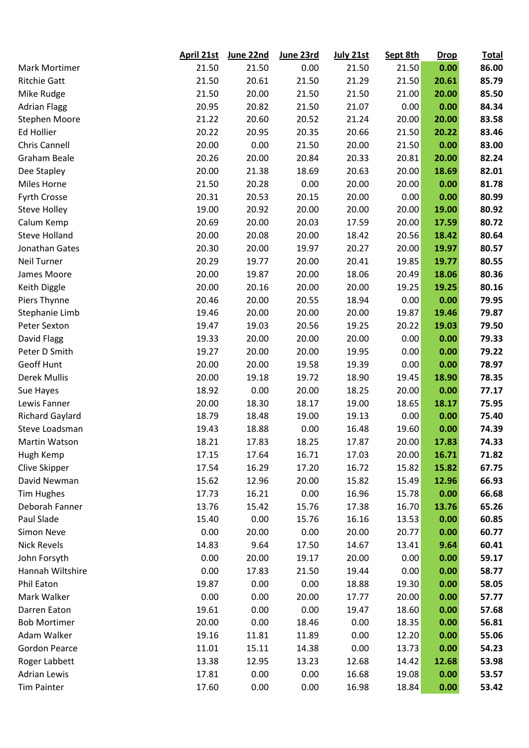|                        | April 21st | June 22nd | June 23rd | July 21st | Sept 8th | <b>Drop</b> | <b>Total</b> |
|------------------------|------------|-----------|-----------|-----------|----------|-------------|--------------|
| Mark Mortimer          | 21.50      | 21.50     | 0.00      | 21.50     | 21.50    | 0.00        | 86.00        |
| <b>Ritchie Gatt</b>    | 21.50      | 20.61     | 21.50     | 21.29     | 21.50    | 20.61       | 85.79        |
| Mike Rudge             | 21.50      | 20.00     | 21.50     | 21.50     | 21.00    | 20.00       | 85.50        |
| <b>Adrian Flagg</b>    | 20.95      | 20.82     | 21.50     | 21.07     | 0.00     | 0.00        | 84.34        |
| <b>Stephen Moore</b>   | 21.22      | 20.60     | 20.52     | 21.24     | 20.00    | 20.00       | 83.58        |
| Ed Hollier             | 20.22      | 20.95     | 20.35     | 20.66     | 21.50    | 20.22       | 83.46        |
| Chris Cannell          | 20.00      | 0.00      | 21.50     | 20.00     | 21.50    | 0.00        | 83.00        |
| Graham Beale           | 20.26      | 20.00     | 20.84     | 20.33     | 20.81    | 20.00       | 82.24        |
| Dee Stapley            | 20.00      | 21.38     | 18.69     | 20.63     | 20.00    | 18.69       | 82.01        |
| Miles Horne            | 21.50      | 20.28     | 0.00      | 20.00     | 20.00    | 0.00        | 81.78        |
| <b>Fyrth Crosse</b>    | 20.31      | 20.53     | 20.15     | 20.00     | 0.00     | 0.00        | 80.99        |
| <b>Steve Holley</b>    | 19.00      | 20.92     | 20.00     | 20.00     | 20.00    | 19.00       | 80.92        |
| Calum Kemp             | 20.69      | 20.00     | 20.03     | 17.59     | 20.00    | 17.59       | 80.72        |
| <b>Steve Holland</b>   | 20.00      | 20.08     | 20.00     | 18.42     | 20.56    | 18.42       | 80.64        |
| Jonathan Gates         | 20.30      | 20.00     | 19.97     | 20.27     | 20.00    | 19.97       | 80.57        |
| Neil Turner            | 20.29      | 19.77     | 20.00     | 20.41     | 19.85    | 19.77       | 80.55        |
| James Moore            | 20.00      | 19.87     | 20.00     | 18.06     | 20.49    | 18.06       | 80.36        |
| Keith Diggle           | 20.00      | 20.16     | 20.00     | 20.00     | 19.25    | 19.25       | 80.16        |
| Piers Thynne           | 20.46      | 20.00     | 20.55     | 18.94     | 0.00     | 0.00        | 79.95        |
| Stephanie Limb         | 19.46      | 20.00     | 20.00     | 20.00     | 19.87    | 19.46       | 79.87        |
| Peter Sexton           | 19.47      | 19.03     | 20.56     | 19.25     | 20.22    | 19.03       | 79.50        |
| David Flagg            | 19.33      | 20.00     | 20.00     | 20.00     | 0.00     | 0.00        | 79.33        |
| Peter D Smith          | 19.27      | 20.00     | 20.00     | 19.95     | 0.00     | 0.00        | 79.22        |
| Geoff Hunt             | 20.00      | 20.00     | 19.58     | 19.39     | 0.00     | 0.00        | 78.97        |
| <b>Derek Mullis</b>    | 20.00      | 19.18     | 19.72     | 18.90     | 19.45    | 18.90       | 78.35        |
| Sue Hayes              | 18.92      | 0.00      | 20.00     | 18.25     | 20.00    | 0.00        | 77.17        |
| Lewis Fanner           | 20.00      | 18.30     | 18.17     | 19.00     | 18.65    | 18.17       | 75.95        |
| <b>Richard Gaylard</b> | 18.79      | 18.48     | 19.00     | 19.13     | 0.00     | 0.00        | 75.40        |
| Steve Loadsman         | 19.43      | 18.88     | 0.00      | 16.48     | 19.60    | 0.00        | 74.39        |
| Martin Watson          | 18.21      | 17.83     | 18.25     | 17.87     | 20.00    | 17.83       | 74.33        |
| Hugh Kemp              | 17.15      | 17.64     | 16.71     | 17.03     | 20.00    | 16.71       | 71.82        |
| Clive Skipper          | 17.54      | 16.29     | 17.20     | 16.72     | 15.82    | 15.82       | 67.75        |
| David Newman           | 15.62      | 12.96     | 20.00     | 15.82     | 15.49    | 12.96       | 66.93        |
| <b>Tim Hughes</b>      | 17.73      | 16.21     | 0.00      | 16.96     | 15.78    | 0.00        | 66.68        |
| Deborah Fanner         | 13.76      | 15.42     | 15.76     | 17.38     | 16.70    | 13.76       | 65.26        |
| Paul Slade             | 15.40      | 0.00      | 15.76     | 16.16     | 13.53    | 0.00        | 60.85        |
| Simon Neve             | 0.00       | 20.00     | 0.00      | 20.00     | 20.77    | 0.00        | 60.77        |
| <b>Nick Revels</b>     | 14.83      | 9.64      | 17.50     | 14.67     | 13.41    | 9.64        | 60.41        |
| John Forsyth           | 0.00       | 20.00     | 19.17     | 20.00     | 0.00     | 0.00        | 59.17        |
| Hannah Wiltshire       | 0.00       | 17.83     | 21.50     | 19.44     | 0.00     | 0.00        | 58.77        |
| Phil Eaton             | 19.87      | 0.00      | 0.00      | 18.88     | 19.30    | 0.00        | 58.05        |
| Mark Walker            | 0.00       | 0.00      | 20.00     | 17.77     | 20.00    | 0.00        | 57.77        |
| Darren Eaton           | 19.61      | 0.00      | 0.00      | 19.47     | 18.60    | 0.00        | 57.68        |
| <b>Bob Mortimer</b>    | 20.00      | 0.00      | 18.46     | 0.00      | 18.35    | 0.00        | 56.81        |
| Adam Walker            | 19.16      | 11.81     | 11.89     | 0.00      | 12.20    | 0.00        | 55.06        |
| <b>Gordon Pearce</b>   | 11.01      | 15.11     | 14.38     | 0.00      | 13.73    | 0.00        | 54.23        |
| Roger Labbett          | 13.38      | 12.95     | 13.23     | 12.68     | 14.42    | 12.68       | 53.98        |
| <b>Adrian Lewis</b>    | 17.81      | 0.00      | 0.00      | 16.68     | 19.08    | 0.00        | 53.57        |
| <b>Tim Painter</b>     | 17.60      | 0.00      | 0.00      | 16.98     | 18.84    | 0.00        | 53.42        |